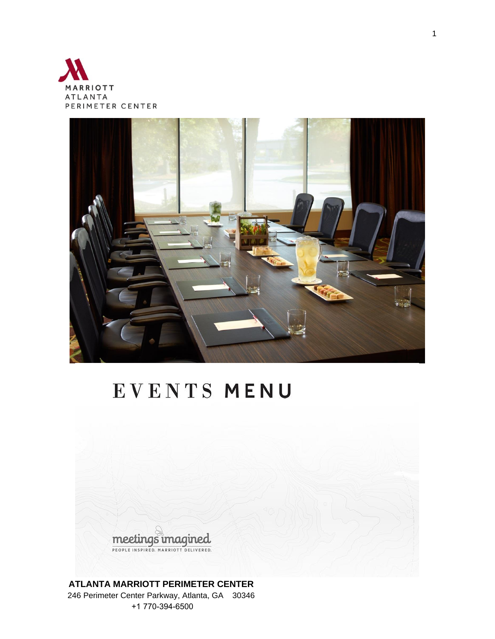



# EVENTS MENU



#### **ATLANTA MARRIOTT PERIMETER CENTER**  246 Perimeter Center Parkway, Atlanta, GA 30346 +1 770-394-6500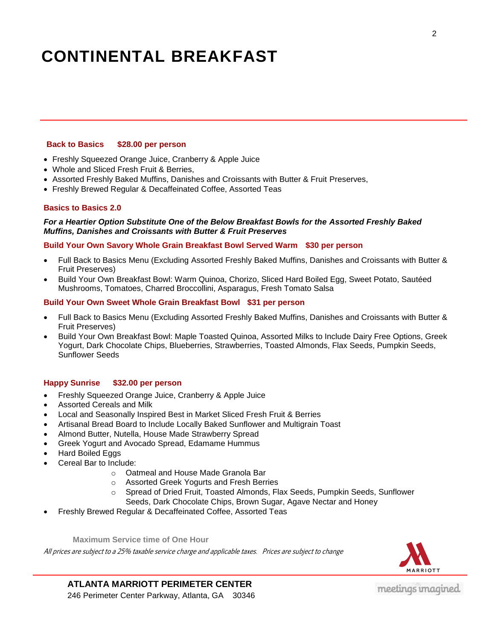### **CONTINENTAL BREAKFAST**

#### **Back to Basics \$28.00 per person**

- Freshly Squeezed Orange Juice, Cranberry & Apple Juice
- Whole and Sliced Fresh Fruit & Berries,
- Assorted Freshly Baked Muffins, Danishes and Croissants with Butter & Fruit Preserves,
- Freshly Brewed Regular & Decaffeinated Coffee, Assorted Teas

#### **Basics to Basics 2.0**

#### *For a Heartier Option Substitute One of the Below Breakfast Bowls for the Assorted Freshly Baked Muffins, Danishes and Croissants with Butter & Fruit Preserves*

#### **Build Your Own Savory Whole Grain Breakfast Bowl Served Warm \$30 per person**

- Full Back to Basics Menu (Excluding Assorted Freshly Baked Muffins, Danishes and Croissants with Butter & Fruit Preserves)
- Build Your Own Breakfast Bowl: Warm Quinoa, Chorizo, Sliced Hard Boiled Egg, Sweet Potato, Sautéed Mushrooms, Tomatoes, Charred Broccollini, Asparagus, Fresh Tomato Salsa

#### **Build Your Own Sweet Whole Grain Breakfast Bowl \$31 per person**

- Full Back to Basics Menu (Excluding Assorted Freshly Baked Muffins, Danishes and Croissants with Butter & Fruit Preserves)
- Build Your Own Breakfast Bowl: Maple Toasted Quinoa, Assorted Milks to Include Dairy Free Options, Greek Yogurt, Dark Chocolate Chips, Blueberries, Strawberries, Toasted Almonds, Flax Seeds, Pumpkin Seeds, Sunflower Seeds

#### **Happy Sunrise \$32.00 per person**

- Freshly Squeezed Orange Juice, Cranberry & Apple Juice
- Assorted Cereals and Milk
- Local and Seasonally Inspired Best in Market Sliced Fresh Fruit & Berries
- Artisanal Bread Board to Include Locally Baked Sunflower and Multigrain Toast
- Almond Butter, Nutella, House Made Strawberry Spread
- Greek Yogurt and Avocado Spread, Edamame Hummus
- Hard Boiled Eggs
- Cereal Bar to Include:
	- o Oatmeal and House Made Granola Bar
	- o Assorted Greek Yogurts and Fresh Berries
	- o Spread of Dried Fruit, Toasted Almonds, Flax Seeds, Pumpkin Seeds, Sunflower Seeds, Dark Chocolate Chips, Brown Sugar, Agave Nectar and Honey
- Freshly Brewed Regular & Decaffeinated Coffee, Assorted Teas

**Maximum Service time of One Hour**

All prices are subject to a 25% taxable service charge and applicable taxes. Prices are subject to change

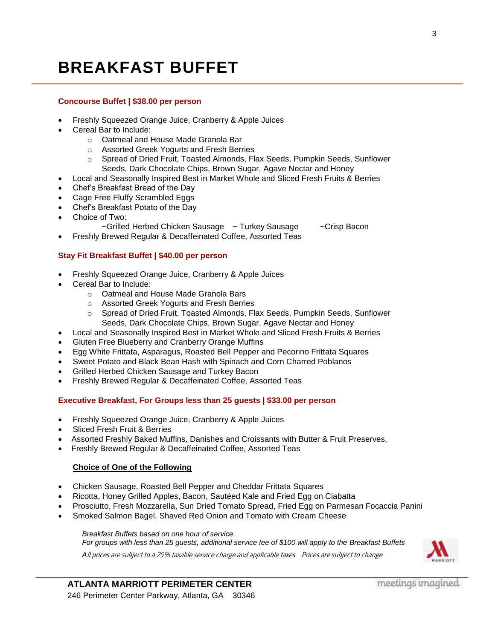### **BREAKFAST BUFFET**

#### **Concourse Buffet | \$38.00 per person**

- Freshly Squeezed Orange Juice, Cranberry & Apple Juices
- Cereal Bar to Include:
	- o Oatmeal and House Made Granola Bar
	- o Assorted Greek Yogurts and Fresh Berries
	- o Spread of Dried Fruit, Toasted Almonds, Flax Seeds, Pumpkin Seeds, Sunflower Seeds, Dark Chocolate Chips, Brown Sugar, Agave Nectar and Honey
- Local and Seasonally Inspired Best in Market Whole and Sliced Fresh Fruits & Berries
- Chef's Breakfast Bread of the Day
- Cage Free Fluffy Scrambled Eggs
- Chef's Breakfast Potato of the Day
- Choice of Two:
	- ~Grilled Herbed Chicken Sausage ~ Turkey Sausage ~ ~ Crisp Bacon
	- Freshly Brewed Regular & Decaffeinated Coffee, Assorted Teas

#### **Stay Fit Breakfast Buffet | \$40.00 per person**

- Freshly Squeezed Orange Juice, Cranberry & Apple Juices
- Cereal Bar to Include:
	- o Oatmeal and House Made Granola Bars
	- o Assorted Greek Yogurts and Fresh Berries
	- o Spread of Dried Fruit, Toasted Almonds, Flax Seeds, Pumpkin Seeds, Sunflower Seeds, Dark Chocolate Chips, Brown Sugar, Agave Nectar and Honey
	- Local and Seasonally Inspired Best in Market Whole and Sliced Fresh Fruits & Berries
- Gluten Free Blueberry and Cranberry Orange Muffins
- Egg White Frittata, Asparagus, Roasted Bell Pepper and Pecorino Frittata Squares
- Sweet Potato and Black Bean Hash with Spinach and Corn Charred Poblanos
- Grilled Herbed Chicken Sausage and Turkey Bacon
- Freshly Brewed Regular & Decaffeinated Coffee, Assorted Teas

#### **Executive Breakfast, For Groups less than 25 guests | \$33.00 per person**

- Freshly Squeezed Orange Juice, Cranberry & Apple Juices
- Sliced Fresh Fruit & Berries
- Assorted Freshly Baked Muffins, Danishes and Croissants with Butter & Fruit Preserves,
- Freshly Brewed Regular & Decaffeinated Coffee, Assorted Teas

#### **Choice of One of the Following**

- Chicken Sausage, Roasted Bell Pepper and Cheddar Frittata Squares
- Ricotta, Honey Grilled Apples, Bacon, Sautéed Kale and Fried Egg on Ciabatta
- Prosciutto, Fresh Mozzarella, Sun Dried Tomato Spread, Fried Egg on Parmesan Focaccia Panini
- Smoked Salmon Bagel, Shaved Red Onion and Tomato with Cream Cheese

*Breakfast Buffets based on one hour of service.* 

*For groups with less than 25 guests, additional service fee of \$100 will apply to the Breakfast Buffets*

*A*ll prices are subject to a 25% taxable service charge and applicable taxes. Prices are subject to change

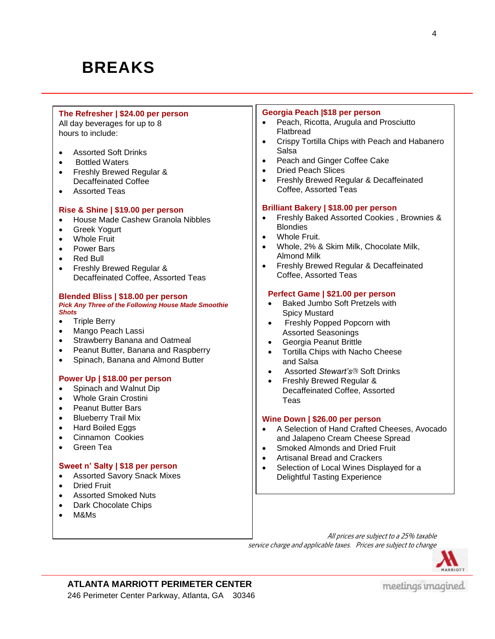### **BREAKS**

#### **The Refresher | \$24.00 per person**

All day beverages for up to 8<sup>1</sup> hours to include:

- Assorted Soft Drinks
- Bottled Waters

- Freshly Brewed Regular & Decaffeinated Coffee
- Assorted Teas

#### **Rise & Shine | \$19.00 per person**

- House Made Cashew Granola Nibbles
- Greek Yogurt
- Whole Fruit
- Power Bars
- Red Bull
- Freshly Brewed Regular & Decaffeinated Coffee, Assorted Teas

#### **Blended Bliss | \$18.00 per person** *Pick Any Three of the Following House Made Smoothie Shots*

- Triple Berry
- Mango Peach Lassi
- Strawberry Banana and Oatmeal
- Peanut Butter, Banana and Raspberry
- Spinach, Banana and Almond Butter

#### **Power Up | \$18.00 per person**

- Spinach and Walnut Dip
- Whole Grain Crostini
- Peanut Butter Bars
- Blueberry Trail Mix
- Hard Boiled Eggs
- Cinnamon Cookies
- Green Tea

#### **Sweet n' Salty | \$18 per person**

- Assorted Savory Snack Mixes
- Dried Fruit
- Assorted Smoked Nuts
- Dark Chocolate Chips
- M&Ms

#### **Georgia Peach |\$18 per person**

- Peach, Ricotta, Arugula and Prosciutto Flatbread
- Crispy Tortilla Chips with Peach and Habanero **Salsa**
- Peach and Ginger Coffee Cake
- Dried Peach Slices
- Freshly Brewed Regular & Decaffeinated Coffee, Assorted Teas

#### **Brilliant Bakery | \$18.00 per person**

- Freshly Baked Assorted Cookies , Brownies & **Blondies**
- Whole Fruit.
- Whole, 2% & Skim Milk, Chocolate Milk, Almond Milk
- **•** Freshly Brewed Regular & Decaffeinated Coffee, Assorted Teas

#### **Perfect Game | \$21.00 per person**

- Baked Jumbo Soft Pretzels with Spicy Mustard
- Freshly Popped Popcorn with Assorted Seasonings
- Georgia Peanut Brittle
- Tortilla Chips with Nacho Cheese and Salsa
- Assorted *Stewart's*<sup>®</sup> Soft Drinks
- Freshly Brewed Regular & Decaffeinated Coffee, Assorted Teas

#### **Wine Down | \$26.00 per person**

- A Selection of Hand Crafted Cheeses, Avocado and Jalapeno Cream Cheese Spread
- Smoked Almonds and Dried Fruit
- Artisanal Bread and Crackers
- Selection of Local Wines Displayed for a Delightful Tasting Experience
- All prices are subject to a 25% taxable service charge and applicable taxes. Prices are subject to change

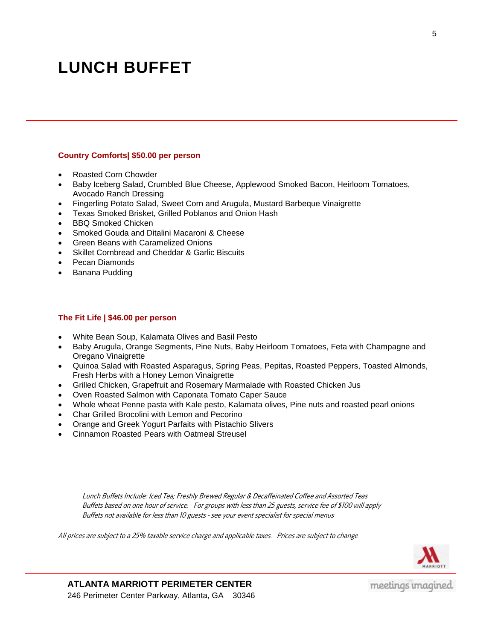### **LUNCH BUFFET**

#### **Country Comforts| \$50.00 per person**

- Roasted Corn Chowder
- Baby Iceberg Salad, Crumbled Blue Cheese, Applewood Smoked Bacon, Heirloom Tomatoes, Avocado Ranch Dressing
- Fingerling Potato Salad, Sweet Corn and Arugula, Mustard Barbeque Vinaigrette
- Texas Smoked Brisket, Grilled Poblanos and Onion Hash
- BBQ Smoked Chicken
- Smoked Gouda and Ditalini Macaroni & Cheese
- Green Beans with Caramelized Onions
- Skillet Cornbread and Cheddar & Garlic Biscuits
- Pecan Diamonds
- Banana Pudding

#### **The Fit Life | \$46.00 per person**

- White Bean Soup, Kalamata Olives and Basil Pesto
- Baby Arugula, Orange Segments, Pine Nuts, Baby Heirloom Tomatoes, Feta with Champagne and Oregano Vinaigrette
- Quinoa Salad with Roasted Asparagus, Spring Peas, Pepitas, Roasted Peppers, Toasted Almonds, Fresh Herbs with a Honey Lemon Vinaigrette
- Grilled Chicken, Grapefruit and Rosemary Marmalade with Roasted Chicken Jus
- Oven Roasted Salmon with Caponata Tomato Caper Sauce
- Whole wheat Penne pasta with Kale pesto, Kalamata olives, Pine nuts and roasted pearl onions
- Char Grilled Brocolini with Lemon and Pecorino
- Orange and Greek Yogurt Parfaits with Pistachio Slivers
- Cinnamon Roasted Pears with Oatmeal Streusel

Lunch Buffets Include: Iced Tea; Freshly Brewed Regular & Decaffeinated Coffee and Assorted Teas Buffets based on one hour of service. For groups with less than 25 guests, service fee of \$100 will apply Buffets not available for less than 10 guests - see your event specialist for special menus

All prices are subject to a 25% taxable service charge and applicable taxes. Prices are subject to change

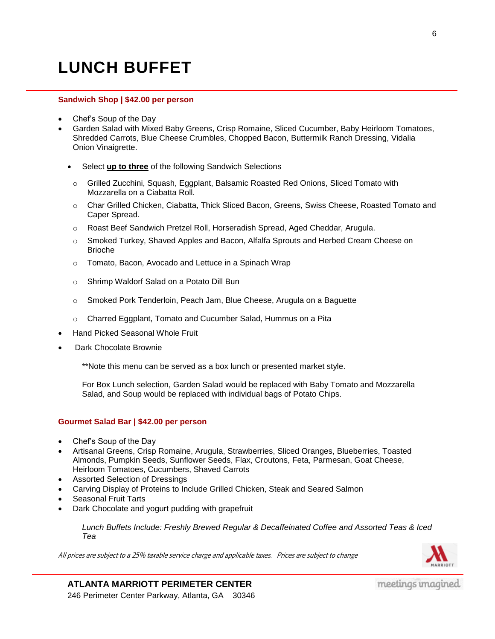## **LUNCH BUFFET**

#### **Sandwich Shop | \$42.00 per person**

- Chef's Soup of the Day
- Garden Salad with Mixed Baby Greens, Crisp Romaine, Sliced Cucumber, Baby Heirloom Tomatoes, Shredded Carrots, Blue Cheese Crumbles, Chopped Bacon, Buttermilk Ranch Dressing, Vidalia Onion Vinaigrette.
	- Select **up to three** of the following Sandwich Selections
	- o Grilled Zucchini, Squash, Eggplant, Balsamic Roasted Red Onions, Sliced Tomato with Mozzarella on a Ciabatta Roll.
	- o Char Grilled Chicken, Ciabatta, Thick Sliced Bacon, Greens, Swiss Cheese, Roasted Tomato and Caper Spread.
	- o Roast Beef Sandwich Pretzel Roll, Horseradish Spread, Aged Cheddar, Arugula.
	- o Smoked Turkey, Shaved Apples and Bacon, Alfalfa Sprouts and Herbed Cream Cheese on Brioche
	- o Tomato, Bacon, Avocado and Lettuce in a Spinach Wrap
	- o Shrimp Waldorf Salad on a Potato Dill Bun
	- o Smoked Pork Tenderloin, Peach Jam, Blue Cheese, Arugula on a Baguette
	- o Charred Eggplant, Tomato and Cucumber Salad, Hummus on a Pita
- Hand Picked Seasonal Whole Fruit
- Dark Chocolate Brownie

\*\*Note this menu can be served as a box lunch or presented market style.

For Box Lunch selection, Garden Salad would be replaced with Baby Tomato and Mozzarella Salad, and Soup would be replaced with individual bags of Potato Chips.

#### **Gourmet Salad Bar | \$42.00 per person**

- Chef's Soup of the Day
- Artisanal Greens, Crisp Romaine, Arugula, Strawberries, Sliced Oranges, Blueberries, Toasted Almonds, Pumpkin Seeds, Sunflower Seeds, Flax, Croutons, Feta, Parmesan, Goat Cheese, Heirloom Tomatoes, Cucumbers, Shaved Carrots
- Assorted Selection of Dressings
- Carving Display of Proteins to Include Grilled Chicken, Steak and Seared Salmon
- Seasonal Fruit Tarts
- Dark Chocolate and yogurt pudding with grapefruit

*Lunch Buffets Include: Freshly Brewed Regular & Decaffeinated Coffee and Assorted Teas & Iced Tea*

All prices are subject to a 25% taxable service charge and applicable taxes. Prices are subject to change



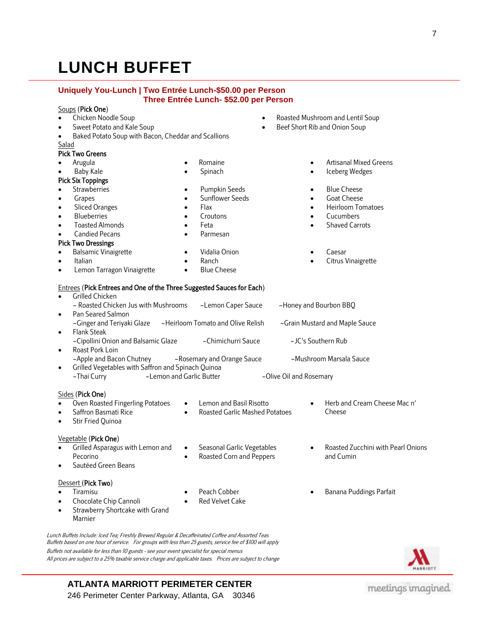# **LUNCH BUFFET**

#### **Uniquely You-Lunch | Two Entrée Lunch-\$50.00 per Person Three Entrée Lunch- \$52.00 per Person**

#### Soups (Pick One)

- Chicken Noodle Soup
- Sweet Potato and Kale Soup
- Baked Potato Soup with Bacon, Cheddar and Scallions
- Salad

#### Pick Two Greens

- Arugula
- Baby Kale

#### Pick Six Toppings

- **Strawberries**
- Grapes
- Sliced Oranges
- Blueberries
- Toasted Almonds
- Candied Pecans

#### Pick Two Dressings

• Balsamic Vinaigrette

Lemon Tarragon Vinaigrette

Italian

- Romaine Spinach
- Pumpkin Seeds
- Sunflower Seeds
- Flax
- Croutons
- Feta
- Parmesan
- Vidalia Onion
- Ranch
- Blue Cheese
- Roasted Mushroom and Lentil Soup
- Beef Short Rib and Onion Soup
	- Artisanal Mixed Greens
	- Iceberg Wedges
	- Blue Cheese
	- Goat Cheese
	- Heirloom Tomatoes
	- Cucumbers
	- Shaved Carrots
	- Caesar
	- Citrus Vinaigrette

#### Entrees (Pick Entrees and One of the Three Suggested Sauces for Each)

- Grilled Chicken ~ Roasted Chicken Jus with Mushrooms ~Lemon Caper Sauce ~ ~ Honey and Bourbon BBQ Pan Seared Salmon ~Ginger and Teriyaki Glaze ~Heirloom Tomato and Olive Relish ~Grain Mustard and Maple Sauce Flank Steak ~Cipollini Onion and Balsamic Glaze ~Chimichurri Sauce ~JC's Southern Rub Roast Pork Loin ~Apple and Bacon Chutney ~Rosemary and Orange Sauce ~Mushroom Marsala Sauce Grilled Vegetables with Saffron and Spinach Quinoa ~Thai Curry - 2-1 ~Lemon and Garlic Butter - 20 ~Olive Oil and Rosemary Sides (Pick One) Herb and Cream Cheese Mac n'
- Oven Roasted Fingerling Potatoes Saffron Basmati Rice • Lemon and Basil Risotto
	- Roasted Garlic Mashed Potatoes
- Stir Fried Quinoa

#### Vegetable (Pick One)

- Grilled Asparagus with Lemon and Pecorino
- Sautéed Green Beans

#### Dessert (Pick Two)

- Tiramisu
	-
	- Chocolate Chip Cannoli
- Red Velvet Cake
- Roasted Corn and Peppers

Seasonal Garlic Vegetables

- Peach Cobber
- 
- Strawberry Shortcake with Grand Marnier
- Lunch Buffets Include: Iced Tea; Freshly Brewed Regular & Decaffeinated Coffee and Assorted Teas
- Roasted Zucchini with Pearl Onions and Cumin
- Banana Puddings Parfait

Cheese



meetings imagined

**ATLANTA MARRIOTT PERIMETER CENTER** 246 Perimeter Center Parkway, Atlanta, GA 30346

Buffets based on one hour of service. For groups with less than 25 guests, service fee of \$100 will apply

All prices are subject to a 25% taxable service charge and applicable taxes. Prices are subject to change

Buffets not available for less than 10 guests - see your event specialist for special menus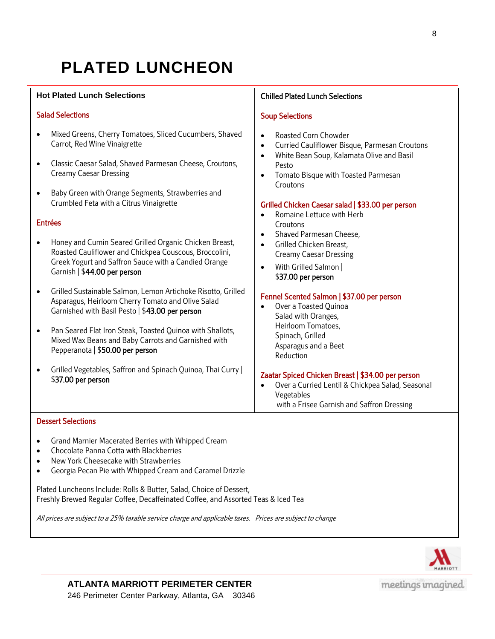## **PLATED LUNCHEON**

#### **Hot Plated Lunch Selections**

#### Salad Selections

- Mixed Greens, Cherry Tomatoes, Sliced Cucumbers, Shaved Carrot, Red Wine Vinaigrette
- Classic Caesar Salad, Shaved Parmesan Cheese, Croutons, Creamy Caesar Dressing
- Baby Green with Orange Segments, Strawberries and Crumbled Feta with a Citrus Vinaigrette

#### Entrées

- Honey and Cumin Seared Grilled Organic Chicken Breast, Roasted Cauliflower and Chickpea Couscous, Broccolini, Greek Yogurt and Saffron Sauce with a Candied Orange Garnish | \$44.00 per person
- Grilled Sustainable Salmon, Lemon Artichoke Risotto, Grilled Asparagus, Heirloom Cherry Tomato and Olive Salad Garnished with Basil Pesto | \$43.00 per person
- Pan Seared Flat Iron Steak, Toasted Quinoa with Shallots, Mixed Wax Beans and Baby Carrots and Garnished with Pepperanota | \$50.00 per person
- Grilled Vegetables, Saffron and Spinach Quinoa, Thai Curry | \$37.00 per person

#### Chilled Plated Lunch Selections

#### Soup Selections

- Roasted Corn Chowder
- Curried Cauliflower Bisque, Parmesan Croutons
- White Bean Soup, Kalamata Olive and Basil Pesto
- Tomato Bisque with Toasted Parmesan Croutons

#### Grilled Chicken Caesar salad | \$33.00 per person

- Romaine Lettuce with Herb Croutons
- Shaved Parmesan Cheese.
- **•** Grilled Chicken Breast, Creamy Caesar Dressing
- With Grilled Salmon | \$37.00 per person

#### Fennel Scented Salmon | \$37.00 per person

 Over a Toasted Quinoa Salad with Oranges, Heirloom Tomatoes, Spinach, Grilled Asparagus and a Beet Reduction

I

#### Zaatar Spiced Chicken Breast | \$34.00 per person

 Over a Curried Lentil & Chickpea Salad, Seasonal Vegetables with a Frisee Garnish and Saffron Dressing

#### Dessert Selections

- Grand Marnier Macerated Berries with Whipped Cream
- Chocolate Panna Cotta with Blackberries
- New York Cheesecake with Strawberries
- Georgia Pecan Pie with Whipped Cream and Caramel Drizzle

Plated Luncheons Include: Rolls & Butter, Salad, Choice of Dessert, Freshly Brewed Regular Coffee, Decaffeinated Coffee, and Assorted Teas & Iced Tea

All prices are subject to a 25% taxable service charge and applicable taxes. Prices are subject to change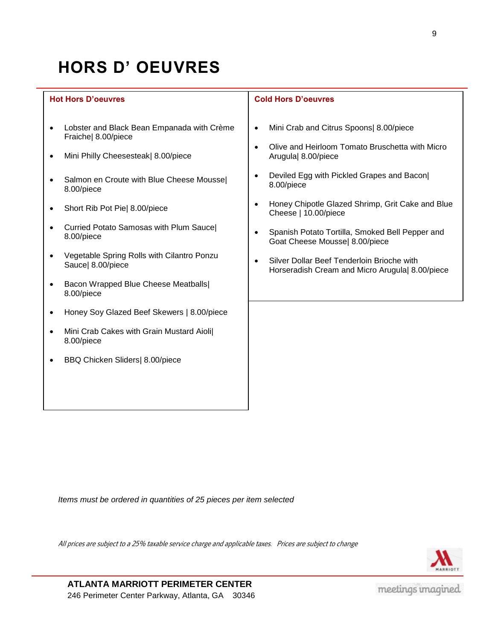# **HORS D' OEUVRES**

### **Hot Hors D'oeuvres** Lobster and Black Bean Empanada with Crème Fraiche| 8.00/piece

- Mini Philly Cheesesteak| 8.00/piece
- Salmon en Croute with Blue Cheese Moussel 8.00/piece
- Short Rib Pot Pie| 8.00/piece
- Curried Potato Samosas with Plum Sauce| 8.00/piece
- Vegetable Spring Rolls with Cilantro Ponzu Sauce| 8.00/piece
- Bacon Wrapped Blue Cheese Meatballs 8.00/piece
- Honey Soy Glazed Beef Skewers | 8.00/piece
- Mini Crab Cakes with Grain Mustard Aioli| 8.00/piece
- BBQ Chicken Sliders| 8.00/piece

#### **Cold Hors D'oeuvres**

- Mini Crab and Citrus Spoons| 8.00/piece
- Olive and Heirloom Tomato Bruschetta with Micro Arugula| 8.00/piece
- Deviled Egg with Pickled Grapes and Bacon| 8.00/piece
- Honey Chipotle Glazed Shrimp, Grit Cake and Blue Cheese | 10.00/piece
- Spanish Potato Tortilla, Smoked Bell Pepper and Goat Cheese Mousse| 8.00/piece
- Silver Dollar Beef Tenderloin Brioche with Horseradish Cream and Micro Arugula| 8.00/piece

*Items must be ordered in quantities of 25 pieces per item selected*

All prices are subject to a 25% taxable service charge and applicable taxes. Prices are subject to change



**ATLANTA MARRIOTT PERIMETER CENTER** 246 Perimeter Center Parkway, Atlanta, GA 30346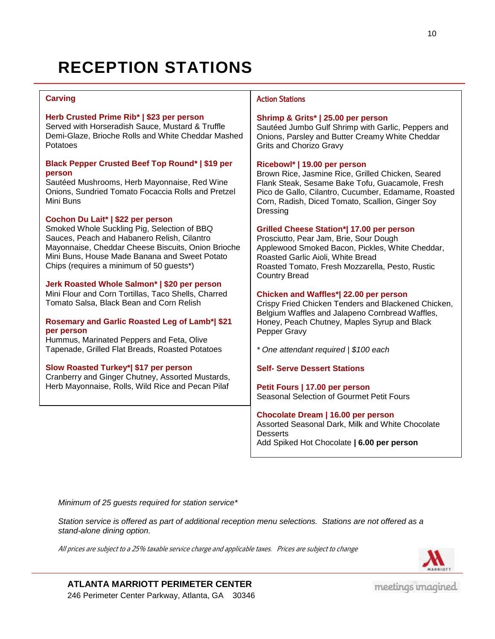### **RECEPTION STATIONS**

#### **Carving**

#### **Herb Crusted Prime Rib\* | \$23 per person**

Served with Horseradish Sauce, Mustard & Truffle Demi-Glaze, Brioche Rolls and White Cheddar Mashed Potatoes

#### **Black Pepper Crusted Beef Top Round\* | \$19 per person**

Sautéed Mushrooms, Herb Mayonnaise, Red Wine Onions, Sundried Tomato Focaccia Rolls and Pretzel Mini Buns

#### **Cochon Du Lait\* | \$22 per person**

Smoked Whole Suckling Pig, Selection of BBQ Sauces, Peach and Habanero Relish, Cilantro Mayonnaise, Cheddar Cheese Biscuits, Onion Brioche Mini Buns, House Made Banana and Sweet Potato Chips (requires a minimum of 50 guests\*)

#### **Jerk Roasted Whole Salmon\* | \$20 per person**

winn Frour and Corn Tortinas, Taco Shells, Charled<br>Tomato Salsa, Black Bean and Corn Relish Mini Flour and Corn Tortillas, Taco Shells, Charred

#### Semeny and Cerlie Reseted Leg of Lemb\*l C Rosemary and Garlic Roasted Leg of Lamb\*| \$21<br>nex noteen **per person**

**Per Person**<br>Hummus, Marinated Peppers and Feta, Olive Tapenade, Grilled Flat Breads, Roasted Potatoes

#### **Slow Roasted Turkey\*| \$17 per person**

Cranberry and Ginger Chutney, Assorted Mustards, Herb Mayonnaise, Rolls, Wild Rice and Pecan Pilaf

#### Action Stations

#### **Shrimp & Grits\* | 25.00 per person**

Sautéed Jumbo Gulf Shrimp with Garlic, Peppers and Onions, Parsley and Butter Creamy White Cheddar Grits and Chorizo Gravy

#### **Ricebowl\* | 19.00 per person**

Brown Rice, Jasmine Rice, Grilled Chicken, Seared Flank Steak, Sesame Bake Tofu, Guacamole, Fresh Pico de Gallo, Cilantro, Cucumber, Edamame, Roasted Corn, Radish, Diced Tomato, Scallion, Ginger Soy Dressing

#### **Grilled Cheese Station\*| 17.00 per person**

Prosciutto, Pear Jam, Brie, Sour Dough Applewood Smoked Bacon, Pickles, White Cheddar, Roasted Garlic Aioli, White Bread Roasted Tomato, Fresh Mozzarella, Pesto, Rustic Country Bread

#### **Chicken and Waffles\*| 22.00 per person**

Crispy Fried Chicken Tenders and Blackened Chicken, Belgium Waffles and Jalapeno Cornbread Waffles, Honey, Peach Chutney, Maples Syrup and Black Pepper Gravy

*\* One attendant required | \$100 each*

#### **Self- Serve Dessert Stations**

**Petit Fours | 17.00 per person** Seasonal Selection of Gourmet Petit Fours

**Chocolate Dream | 16.00 per person** Assorted Seasonal Dark, Milk and White Chocolate **Desserts** Add Spiked Hot Chocolate **| 6.00 per person**

*Minimum of 25 guests required for station service\**

*Station service is offered as part of additional reception menu selections. Stations are not offered as a stand-alone dining option.* 

All prices are subject to a 25% taxable service charge and applicable taxes. Prices are subject to change



**ATLANTA MARRIOTT PERIMETER CENTER** 246 Perimeter Center Parkway, Atlanta, GA 30346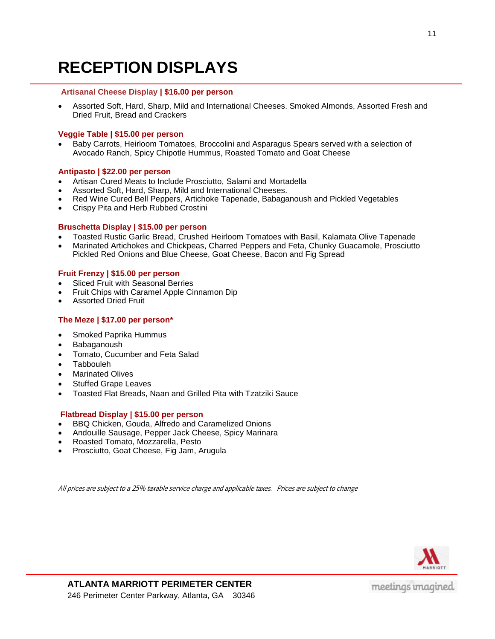### **RECEPTION DISPLAYS**

#### **Artisanal Cheese Display | \$16.00 per person**

 Assorted Soft, Hard, Sharp, Mild and International Cheeses. Smoked Almonds, Assorted Fresh and Dried Fruit, Bread and Crackers

#### **Veggie Table | \$15.00 per person**

 Baby Carrots, Heirloom Tomatoes, Broccolini and Asparagus Spears served with a selection of Avocado Ranch, Spicy Chipotle Hummus, Roasted Tomato and Goat Cheese

#### **Antipasto | \$22.00 per person**

- Artisan Cured Meats to Include Prosciutto, Salami and Mortadella
- Assorted Soft, Hard, Sharp, Mild and International Cheeses.
- Red Wine Cured Bell Peppers, Artichoke Tapenade, Babaganoush and Pickled Vegetables
- Crispy Pita and Herb Rubbed Crostini

#### **Bruschetta Display | \$15.00 per person**

- Toasted Rustic Garlic Bread, Crushed Heirloom Tomatoes with Basil, Kalamata Olive Tapenade
- Marinated Artichokes and Chickpeas, Charred Peppers and Feta, Chunky Guacamole, Prosciutto Pickled Red Onions and Blue Cheese, Goat Cheese, Bacon and Fig Spread

#### **Fruit Frenzy | \$15.00 per person**

- Sliced Fruit with Seasonal Berries
- Fruit Chips with Caramel Apple Cinnamon Dip
- Assorted Dried Fruit

#### **The Meze | \$17.00 per person\***

- Smoked Paprika Hummus
- Babaganoush
- Tomato, Cucumber and Feta Salad
- Tabbouleh
- Marinated Olives
- Stuffed Grape Leaves
- Toasted Flat Breads, Naan and Grilled Pita with Tzatziki Sauce

#### **Flatbread Display | \$15.00 per person**

- BBQ Chicken, Gouda, Alfredo and Caramelized Onions
- Andouille Sausage, Pepper Jack Cheese, Spicy Marinara
- Roasted Tomato, Mozzarella, Pesto
- Prosciutto, Goat Cheese, Fig Jam, Arugula

All prices are subject to a 25% taxable service charge and applicable taxes. Prices are subject to change

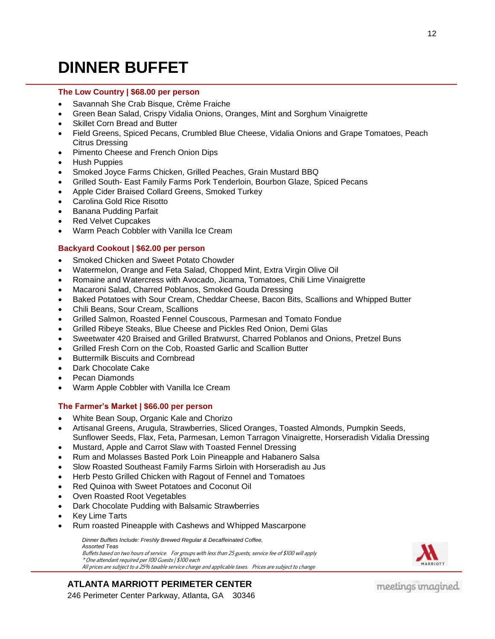### **DINNER BUFFET**

#### **The Low Country | \$68.00 per person**

- Savannah She Crab Bisque, Crème Fraiche
- Green Bean Salad, Crispy Vidalia Onions, Oranges, Mint and Sorghum Vinaigrette
- Skillet Corn Bread and Butter
- Field Greens, Spiced Pecans, Crumbled Blue Cheese, Vidalia Onions and Grape Tomatoes, Peach Citrus Dressing
- Pimento Cheese and French Onion Dips
- Hush Puppies
- Smoked Joyce Farms Chicken, Grilled Peaches, Grain Mustard BBQ
- Grilled South- East Family Farms Pork Tenderloin, Bourbon Glaze, Spiced Pecans
- Apple Cider Braised Collard Greens, Smoked Turkey
- Carolina Gold Rice Risotto
- Banana Pudding Parfait
- Red Velvet Cupcakes
- Warm Peach Cobbler with Vanilla Ice Cream

#### **Backyard Cookout | \$62.00 per person**

- Smoked Chicken and Sweet Potato Chowder
- Watermelon, Orange and Feta Salad, Chopped Mint, Extra Virgin Olive Oil
- Romaine and Watercress with Avocado, Jicama, Tomatoes, Chili Lime Vinaigrette
- Macaroni Salad, Charred Poblanos, Smoked Gouda Dressing
- Baked Potatoes with Sour Cream, Cheddar Cheese, Bacon Bits, Scallions and Whipped Butter
- Chili Beans, Sour Cream, Scallions
- Grilled Salmon, Roasted Fennel Couscous, Parmesan and Tomato Fondue
- Grilled Ribeye Steaks, Blue Cheese and Pickles Red Onion, Demi Glas
- Sweetwater 420 Braised and Grilled Bratwurst, Charred Poblanos and Onions, Pretzel Buns
- Grilled Fresh Corn on the Cob, Roasted Garlic and Scallion Butter
- Buttermilk Biscuits and Cornbread
- Dark Chocolate Cake
- Pecan Diamonds
- Warm Apple Cobbler with Vanilla Ice Cream

#### **The Farmer's Market | \$66.00 per person**

- White Bean Soup, Organic Kale and Chorizo
- Artisanal Greens, Arugula, Strawberries, Sliced Oranges, Toasted Almonds, Pumpkin Seeds, Sunflower Seeds, Flax, Feta, Parmesan, Lemon Tarragon Vinaigrette, Horseradish Vidalia Dressing
- Mustard, Apple and Carrot Slaw with Toasted Fennel Dressing
- Rum and Molasses Basted Pork Loin Pineapple and Habanero Salsa
- Slow Roasted Southeast Family Farms Sirloin with Horseradish au Jus
- Herb Pesto Grilled Chicken with Ragout of Fennel and Tomatoes
- Red Quinoa with Sweet Potatoes and Coconut Oil
- Oven Roasted Root Vegetables
- Dark Chocolate Pudding with Balsamic Strawberries
- Key Lime Tarts
- Rum roasted Pineapple with Cashews and Whipped Mascarpone

*Dinner Buffets Include: Freshly Brewed Regular & Decaffeinated Coffee, Assorted Teas* Buffets based on two hours of service. For groups with less than 25 guests, service fee of \$100 will apply \* One attendant required per 100 Guests | \$100 each All prices are subject to a 25% taxable service charge and applicable taxes. Prices are subject to change



### **ATLANTA MARRIOTT PERIMETER CENTER**

246 Perimeter Center Parkway, Atlanta, GA 30346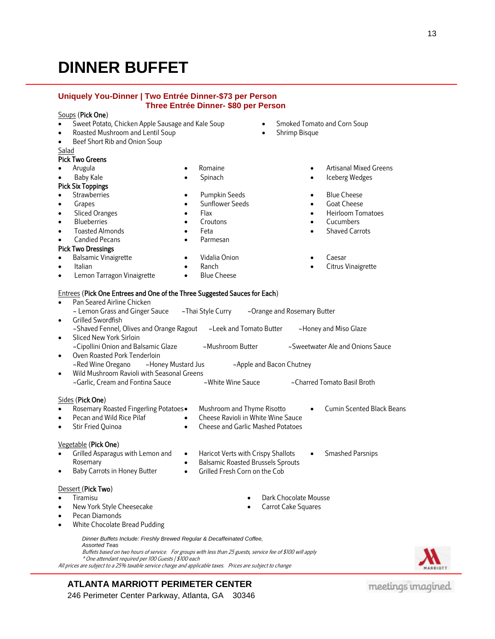### **DINNER BUFFET**

#### **Uniquely You-Dinner | Two Entrée Dinner-\$73 per Person Three Entrée Dinner- \$80 per Person**

#### $So$

|                                                  | Soups (Pick One)                                                                                                                                                                                                                                                                                                               |                                                                                                              |                                                         |                                                                                          |
|--------------------------------------------------|--------------------------------------------------------------------------------------------------------------------------------------------------------------------------------------------------------------------------------------------------------------------------------------------------------------------------------|--------------------------------------------------------------------------------------------------------------|---------------------------------------------------------|------------------------------------------------------------------------------------------|
| $\bullet$                                        | Sweet Potato, Chicken Apple Sausage and Kale Soup                                                                                                                                                                                                                                                                              | Smoked Tomato and Corn Soup<br>Shrimp Bisque<br>$\bullet$                                                    |                                                         |                                                                                          |
| $\bullet$                                        | Roasted Mushroom and Lentil Soup                                                                                                                                                                                                                                                                                               |                                                                                                              |                                                         |                                                                                          |
| $\bullet$                                        | Beef Short Rib and Onion Soup                                                                                                                                                                                                                                                                                                  |                                                                                                              |                                                         |                                                                                          |
| Salad                                            |                                                                                                                                                                                                                                                                                                                                |                                                                                                              |                                                         |                                                                                          |
|                                                  | <b>Pick Two Greens</b>                                                                                                                                                                                                                                                                                                         |                                                                                                              |                                                         |                                                                                          |
| $\bullet$                                        | Arugula<br>$\bullet$                                                                                                                                                                                                                                                                                                           | Romaine                                                                                                      | $\bullet$                                               | Artisanal Mixed Greens                                                                   |
| $\bullet$                                        | <b>Baby Kale</b><br>$\bullet$                                                                                                                                                                                                                                                                                                  | Spinach                                                                                                      | $\bullet$                                               | Iceberg Wedges                                                                           |
|                                                  | <b>Pick Six Toppings</b>                                                                                                                                                                                                                                                                                                       |                                                                                                              |                                                         |                                                                                          |
| $\bullet$                                        | Strawberries<br>$\bullet$                                                                                                                                                                                                                                                                                                      | Pumpkin Seeds                                                                                                |                                                         | <b>Blue Cheese</b>                                                                       |
| $\bullet$                                        | Grapes<br>$\bullet$                                                                                                                                                                                                                                                                                                            | <b>Sunflower Seeds</b>                                                                                       | $\bullet$                                               | Goat Cheese                                                                              |
| $\bullet$                                        | <b>Sliced Oranges</b><br>$\bullet$                                                                                                                                                                                                                                                                                             | Flax                                                                                                         | $\bullet$                                               | Heirloom Tomatoes                                                                        |
| $\bullet$                                        | <b>Blueberries</b><br>$\bullet$                                                                                                                                                                                                                                                                                                | Croutons                                                                                                     | $\bullet$                                               | Cucumbers                                                                                |
| $\bullet$                                        | <b>Toasted Almonds</b><br>$\bullet$                                                                                                                                                                                                                                                                                            | Feta                                                                                                         | $\bullet$                                               | <b>Shaved Carrots</b>                                                                    |
| $\bullet$                                        | <b>Candied Pecans</b><br>$\bullet$                                                                                                                                                                                                                                                                                             | Parmesan                                                                                                     |                                                         |                                                                                          |
|                                                  | <b>Pick Two Dressings</b>                                                                                                                                                                                                                                                                                                      |                                                                                                              |                                                         |                                                                                          |
| $\bullet$                                        | <b>Balsamic Vinaigrette</b><br>$\bullet$                                                                                                                                                                                                                                                                                       | Vidalia Onion                                                                                                |                                                         | Caesar                                                                                   |
| $\bullet$                                        | Italian<br>$\bullet$                                                                                                                                                                                                                                                                                                           | Ranch                                                                                                        |                                                         | Citrus Vinaigrette                                                                       |
| $\bullet$                                        | Lemon Tarragon Vinaigrette<br>$\bullet$                                                                                                                                                                                                                                                                                        | <b>Blue Cheese</b>                                                                                           |                                                         |                                                                                          |
| $\bullet$<br>$\bullet$<br>$\bullet$<br>$\bullet$ | ~ Lemon Grass and Ginger Sauce<br>Grilled Swordfish<br>~Shaved Fennel, Olives and Orange Ragout<br>Sliced New York Sirloin<br>~Cipollini Onion and Balsamic Glaze<br>Oven Roasted Pork Tenderloin<br>~Honey Mustard Jus<br>~Red Wine Oregano<br>Wild Mushroom Ravioli with Seasonal Greens<br>~Garlic, Cream and Fontina Sauce | ~Thai Style Curry<br>~Leek and Tomato Butter<br>~Mushroom Butter<br>~White Wine Sauce                        | ~Orange and Rosemary Butter<br>~Apple and Bacon Chutney | ~Honey and Miso Glaze<br>~Sweetwater Ale and Onions Sauce<br>~Charred Tomato Basil Broth |
|                                                  | Sides (Pick One)                                                                                                                                                                                                                                                                                                               |                                                                                                              |                                                         |                                                                                          |
| $\bullet$<br>$\bullet$<br>$\bullet$              | Rosemary Roasted Fingerling Potatoes.<br>Pecan and Wild Rice Pilaf<br>$\bullet$<br>Stir Fried Quinoa<br>$\bullet$                                                                                                                                                                                                              | Mushroom and Thyme Risotto<br>Cheese Ravioli in White Wine Sauce<br><b>Cheese and Garlic Mashed Potatoes</b> |                                                         | <b>Cumin Scented Black Beans</b>                                                         |
|                                                  | Vegetable (Pick One)                                                                                                                                                                                                                                                                                                           |                                                                                                              |                                                         |                                                                                          |
| $\bullet$                                        | Grilled Asparagus with Lemon and<br>$\bullet$                                                                                                                                                                                                                                                                                  | Haricot Verts with Crispy Shallots                                                                           |                                                         | <b>Smashed Parsnips</b>                                                                  |
|                                                  | Rosemary<br>$\bullet$                                                                                                                                                                                                                                                                                                          | <b>Balsamic Roasted Brussels Sprouts</b>                                                                     |                                                         |                                                                                          |
| $\bullet$                                        | Baby Carrots in Honey Butter<br>$\bullet$                                                                                                                                                                                                                                                                                      | Grilled Fresh Corn on the Cob                                                                                |                                                         |                                                                                          |
| $\bullet$<br>$\bullet$<br>$\bullet$<br>$\bullet$ | Dessert (Pick Two)<br>Tiramisu<br>New York Style Cheesecake<br>Pecan Diamonds<br>White Chocolate Bread Pudding                                                                                                                                                                                                                 | $\bullet$<br>$\bullet$                                                                                       | Dark Chocolate Mousse<br>Carrot Cake Squares            |                                                                                          |

- ens
- 

**ATLANTA MARRIOTT PERIMETER CENTER** 246 Perimeter Center Parkway, Atlanta, GA 30346

\* One attendant required per 100 Guests | \$100 each

*Dinner Buffets Include: Freshly Brewed Regular & Decaffeinated Coffee,*

All prices are subject to a 25% taxable service charge and applicable taxes. Prices are subject to change

### meetings unagined

- 
- Sliced New York Sirloin Oven Roasted Pork Tenderloin Wild Mushroom Ravioli with Seasonal Greens Sid
	-
	- Rosemary Roasted Fingerling Potatoes
	-

#### V<sub>e</sub>

Buffets based on two hours of service. For groups with less than 25 guests, service fee of \$100 will apply

- 
- 

*Assorted Teas*

White Chocolate Bread Pudding

- - **MARRIOTT**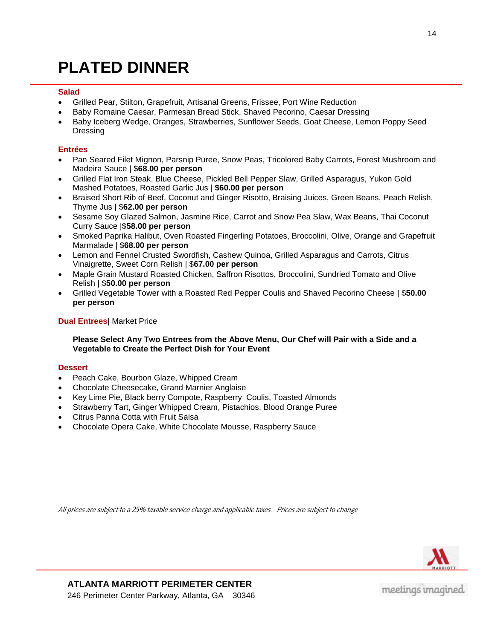### **PLATED DINNER**

#### **Salad**

- Grilled Pear, Stilton, Grapefruit, Artisanal Greens, Frissee, Port Wine Reduction
- Baby Romaine Caesar, Parmesan Bread Stick, Shaved Pecorino, Caesar Dressing
- Baby Iceberg Wedge, Oranges, Strawberries, Sunflower Seeds, Goat Cheese, Lemon Poppy Seed Dressing

#### **Entrées**

- Pan Seared Filet Mignon, Parsnip Puree, Snow Peas, Tricolored Baby Carrots, Forest Mushroom and Madeira Sauce | \$**68.00 per person**
- Grilled Flat Iron Steak, Blue Cheese, Pickled Bell Pepper Slaw, Grilled Asparagus, Yukon Gold Mashed Potatoes, Roasted Garlic Jus | **\$60.00 per person**
- Braised Short Rib of Beef, Coconut and Ginger Risotto, Braising Juices, Green Beans, Peach Relish, Thyme Jus | \$**62.00 per person**
- Sesame Soy Glazed Salmon, Jasmine Rice, Carrot and Snow Pea Slaw, Wax Beans, Thai Coconut Curry Sauce |\$**58.00 per person**
- Smoked Paprika Halibut, Oven Roasted Fingerling Potatoes, Broccolini, Olive, Orange and Grapefruit Marmalade | \$**68.00 per person**
- Lemon and Fennel Crusted Swordfish, Cashew Quinoa, Grilled Asparagus and Carrots, Citrus Vinaigrette, Sweet Corn Relish | \$**67.00 per person**
- Maple Grain Mustard Roasted Chicken, Saffron Risottos, Broccolini, Sundried Tomato and Olive Relish | \$**50.00 per person**
- Grilled Vegetable Tower with a Roasted Red Pepper Coulis and Shaved Pecorino Cheese | \$**50.00 per person**

#### **Dual Entrees**| Market Price

#### **Please Select Any Two Entrees from the Above Menu, Our Chef will Pair with a Side and a Vegetable to Create the Perfect Dish for Your Event**

#### **Dessert**

- Peach Cake, Bourbon Glaze, Whipped Cream
- Chocolate Cheesecake, Grand Marnier Anglaise
- Key Lime Pie, Black berry Compote, Raspberry Coulis, Toasted Almonds
- Strawberry Tart, Ginger Whipped Cream, Pistachios, Blood Orange Puree
- Citrus Panna Cotta with Fruit Salsa
- Chocolate Opera Cake, White Chocolate Mousse, Raspberry Sauce

All prices are subject to a 25% taxable service charge and applicable taxes. Prices are subject to change

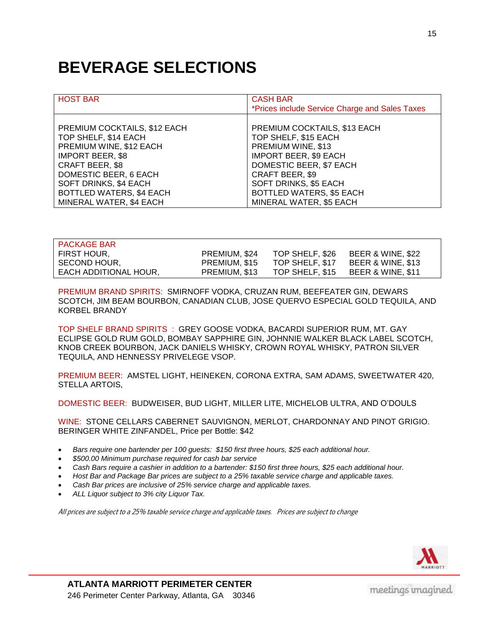### **BEVERAGE SELECTIONS**

| <b>HOST BAR</b>              | <b>CASH BAR</b><br>*Prices include Service Charge and Sales Taxes |
|------------------------------|-------------------------------------------------------------------|
| PREMIUM COCKTAILS, \$12 EACH | PREMIUM COCKTAILS, \$13 EACH                                      |
| TOP SHELF, \$14 EACH         | TOP SHELF, \$15 EACH                                              |
| PREMIUM WINE, \$12 EACH      | PREMIUM WINE, \$13                                                |
| <b>IMPORT BEER, \$8</b>      | <b>IMPORT BEER, \$9 EACH</b>                                      |
| <b>CRAFT BEER, \$8</b>       | DOMESTIC BEER, \$7 EACH                                           |
| DOMESTIC BEER, 6 EACH        | CRAFT BEER, \$9                                                   |
| SOFT DRINKS, \$4 EACH        | SOFT DRINKS, \$5 EACH                                             |
| BOTTLED WATERS, \$4 EACH     | <b>BOTTLED WATERS, \$5 EACH</b>                                   |
| MINERAL WATER, \$4 EACH      | MINERAL WATER, \$5 EACH                                           |

| <b>PACKAGE BAR</b>    |               |                 |                              |
|-----------------------|---------------|-----------------|------------------------------|
| FIRST HOUR,           | PREMIUM, \$24 | TOP SHELF, \$26 | <b>BEER &amp; WINE, \$22</b> |
| SECOND HOUR,          | PREMIUM, \$15 | TOP SHELF, \$17 | <b>BEER &amp; WINE, \$13</b> |
| EACH ADDITIONAL HOUR, | PREMIUM, \$13 | TOP SHELF, \$15 | <b>BEER &amp; WINE, \$11</b> |
|                       |               |                 |                              |

PREMIUM BRAND SPIRITS: SMIRNOFF VODKA, CRUZAN RUM, BEEFEATER GIN, DEWARS SCOTCH, JIM BEAM BOURBON, CANADIAN CLUB, JOSE QUERVO ESPECIAL GOLD TEQUILA, AND KORBEL BRANDY

TOP SHELF BRAND SPIRITS : GREY GOOSE VODKA, BACARDI SUPERIOR RUM, MT. GAY ECLIPSE GOLD RUM GOLD, BOMBAY SAPPHIRE GIN, JOHNNIE WALKER BLACK LABEL SCOTCH, KNOB CREEK BOURBON, JACK DANIELS WHISKY, CROWN ROYAL WHISKY, PATRON SILVER TEQUILA, AND HENNESSY PRIVELEGE VSOP.

PREMIUM BEER: AMSTEL LIGHT, HEINEKEN, CORONA EXTRA, SAM ADAMS, SWEETWATER 420, STELLA ARTOIS,

DOMESTIC BEER: BUDWEISER, BUD LIGHT, MILLER LITE, MICHELOB ULTRA, AND O'DOULS

WINE: STONE CELLARS CABERNET SAUVIGNON, MERLOT, CHARDONNAY AND PINOT GRIGIO. BERINGER WHITE ZINFANDEL, Price per Bottle: \$42

- *Bars require one bartender per 100 guests: \$150 first three hours, \$25 each additional hour.*
- *\$500.00 Minimum purchase required for cash bar service*
- *Cash Bars require a cashier in addition to a bartender: \$150 first three hours, \$25 each additional hour.*
- *Host Bar and Package Bar prices are subject to a 25% taxable service charge and applicable taxes.*
- *Cash Bar prices are inclusive of 25% service charge and applicable taxes.*
- *ALL Liquor subject to 3% city Liquor Tax.*

All prices are subject to a 25% taxable service charge and applicable taxes. Prices are subject to change

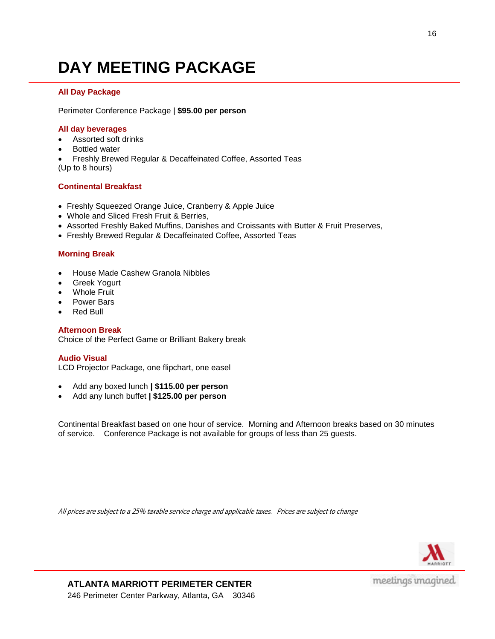### **DAY MEETING PACKAGE**

#### **All Day Package**

Perimeter Conference Package | **\$95.00 per person**

#### **All day beverages**

- Assorted soft drinks
- Bottled water

 Freshly Brewed Regular & Decaffeinated Coffee, Assorted Teas (Up to 8 hours)

#### **Continental Breakfast**

- Freshly Squeezed Orange Juice, Cranberry & Apple Juice
- Whole and Sliced Fresh Fruit & Berries,
- Assorted Freshly Baked Muffins, Danishes and Croissants with Butter & Fruit Preserves,
- Freshly Brewed Regular & Decaffeinated Coffee, Assorted Teas

#### **Morning Break**

- House Made Cashew Granola Nibbles
- Greek Yogurt
- Whole Fruit
- Power Bars
- Red Bull

#### **Afternoon Break**

Choice of the Perfect Game or Brilliant Bakery break

#### **Audio Visual**

LCD Projector Package, one flipchart, one easel

- Add any boxed lunch **| \$115.00 per person**
- Add any lunch buffet **| \$125.00 per person**

Continental Breakfast based on one hour of service. Morning and Afternoon breaks based on 30 minutes of service. Conference Package is not available for groups of less than 25 guests.

All prices are subject to a 25% taxable service charge and applicable taxes. Prices are subject to change

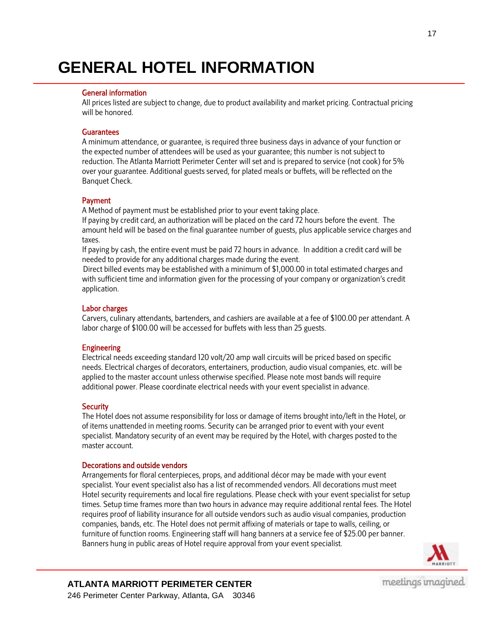### **GENERAL HOTEL INFORMATION**

#### General information

All prices listed are subject to change, due to product availability and market pricing. Contractual pricing will be honored.

#### **Guarantees**

A minimum attendance, or guarantee, is required three business days in advance of your function or the expected number of attendees will be used as your guarantee; this number is not subject to reduction. The Atlanta Marriott Perimeter Center will set and is prepared to service (not cook) for 5% over your guarantee. Additional guests served, for plated meals or buffets, will be reflected on the Banquet Check.

#### Payment

A Method of payment must be established prior to your event taking place.

If paying by credit card, an authorization will be placed on the card 72 hours before the event. The amount held will be based on the final guarantee number of guests, plus applicable service charges and taxes.

If paying by cash, the entire event must be paid 72 hours in advance. In addition a credit card will be needed to provide for any additional charges made during the event.

Direct billed events may be established with a minimum of \$1,000.00 in total estimated charges and with sufficient time and information given for the processing of your company or organization's credit application.

#### Labor charges

Carvers, culinary attendants, bartenders, and cashiers are available at a fee of \$100.00 per attendant. A labor charge of \$100.00 will be accessed for buffets with less than 25 guests.

#### **Engineering**

Electrical needs exceeding standard 120 volt/20 amp wall circuits will be priced based on specific needs. Electrical charges of decorators, entertainers, production, audio visual companies, etc. will be applied to the master account unless otherwise specified. Please note most bands will require additional power. Please coordinate electrical needs with your event specialist in advance.

#### **Security**

The Hotel does not assume responsibility for loss or damage of items brought into/left in the Hotel, or of items unattended in meeting rooms. Security can be arranged prior to event with your event specialist. Mandatory security of an event may be required by the Hotel, with charges posted to the master account.

#### Decorations and outside vendors

Arrangements for floral centerpieces, props, and additional décor may be made with your event specialist. Your event specialist also has a list of recommended vendors. All decorations must meet Hotel security requirements and local fire regulations. Please check with your event specialist for setup times. Setup time frames more than two hours in advance may require additional rental fees. The Hotel requires proof of liability insurance for all outside vendors such as audio visual companies, production companies, bands, etc. The Hotel does not permit affixing of materials or tape to walls, ceiling, or furniture of function rooms. Engineering staff will hang banners at a service fee of \$25.00 per banner. Banners hung in public areas of Hotel require approval from your event specialist.



#### **ATLANTA MARRIOTT PERIMETER CENTER** 246 Perimeter Center Parkway, Atlanta, GA 30346

17